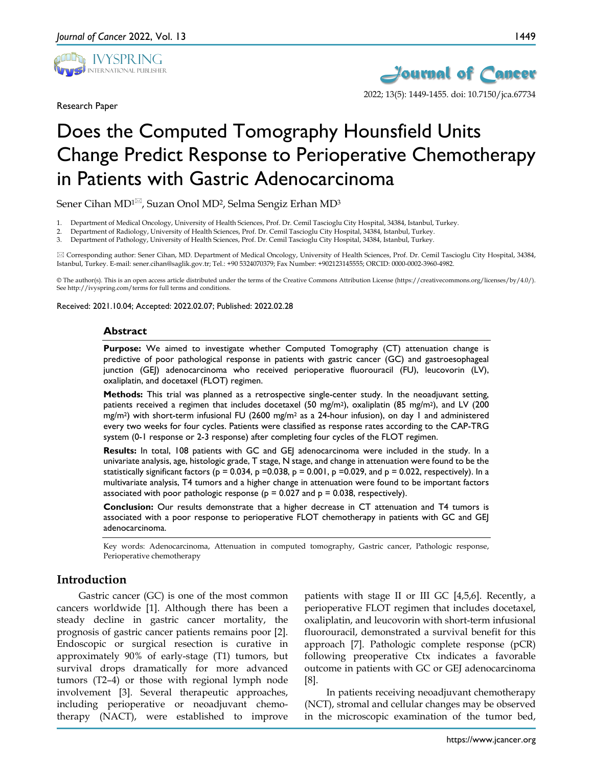

Research Paper



2022; 13(5): 1449-1455. doi: 10.7150/jca.67734

# Does the Computed Tomography Hounsfield Units Change Predict Response to Perioperative Chemotherapy in Patients with Gastric Adenocarcinoma

Sener Cihan MD<sup>1⊠</sup>, Suzan Onol MD<sup>2</sup>, Selma Sengiz Erhan MD<sup>3</sup>

- 1. Department of Medical Oncology, University of Health Sciences, Prof. Dr. Cemil Tascioglu City Hospital, 34384, Istanbul, Turkey.
- 2. Department of Radiology, University of Health Sciences, Prof. Dr. Cemil Tascioglu City Hospital, 34384, Istanbul, Turkey.
- 3. Department of Pathology, University of Health Sciences, Prof. Dr. Cemil Tascioglu City Hospital, 34384, Istanbul, Turkey.

 Corresponding author: Sener Cihan, MD. Department of Medical Oncology, University of Health Sciences, Prof. Dr. Cemil Tascioglu City Hospital, 34384, Istanbul, Turkey. E-mail: sener.cihan@saglik.gov.tr; Tel.: +90 5324070379; Fax Number: +902123145555; ORCID: 0000-0002-3960-4982.

© The author(s). This is an open access article distributed under the terms of the Creative Commons Attribution License (https://creativecommons.org/licenses/by/4.0/). See http://ivyspring.com/terms for full terms and conditions.

Received: 2021.10.04; Accepted: 2022.02.07; Published: 2022.02.28

#### **Abstract**

**Purpose:** We aimed to investigate whether Computed Tomography (CT) attenuation change is predictive of poor pathological response in patients with gastric cancer (GC) and gastroesophageal junction (GEJ) adenocarcinoma who received perioperative fluorouracil (FU), leucovorin (LV), oxaliplatin, and docetaxel (FLOT) regimen.

**Methods:** This trial was planned as a retrospective single-center study. In the neoadjuvant setting, patients received a regimen that includes docetaxel (50 mg/m<sup>2</sup>), oxaliplatin (85 mg/m<sup>2</sup>), and LV (200 mg/m<sup>2</sup>) with short-term infusional FU (2600 mg/m<sup>2</sup> as a 24-hour infusion), on day 1 and administered every two weeks for four cycles. Patients were classified as response rates according to the CAP-TRG system (0-1 response or 2-3 response) after completing four cycles of the FLOT regimen.

**Results:** In total, 108 patients with GC and GEJ adenocarcinoma were included in the study. In a univariate analysis, age, histologic grade, T stage, N stage, and change in attenuation were found to be the statistically significant factors ( $p = 0.034$ ,  $p = 0.038$ ,  $p = 0.001$ ,  $p = 0.029$ , and  $p = 0.022$ , respectively). In a multivariate analysis, T4 tumors and a higher change in attenuation were found to be important factors associated with poor pathologic response ( $p = 0.027$  and  $p = 0.038$ , respectively).

**Conclusion:** Our results demonstrate that a higher decrease in CT attenuation and T4 tumors is associated with a poor response to perioperative FLOT chemotherapy in patients with GC and GEJ adenocarcinoma.

Key words: Adenocarcinoma, Attenuation in computed tomography, Gastric cancer, Pathologic response, Perioperative chemotherapy

# **Introduction**

Gastric cancer (GC) is one of the most common cancers worldwide [1]. Although there has been a steady decline in gastric cancer mortality, the prognosis of gastric cancer patients remains poor [2]. Endoscopic or surgical resection is curative in approximately 90% of early-stage (T1) tumors, but survival drops dramatically for more advanced tumors (T2–4) or those with regional lymph node involvement [3]. Several therapeutic approaches, including perioperative or neoadjuvant chemotherapy (NACT), were established to improve

patients with stage II or III GC [4,5,6]. Recently, a perioperative FLOT regimen that includes docetaxel, oxaliplatin, and leucovorin with short-term infusional fluorouracil, demonstrated a survival benefit for this approach [7]. Pathologic complete response (pCR) following preoperative Ctx indicates a favorable outcome in patients with GC or GEJ adenocarcinoma [8].

In patients receiving neoadjuvant chemotherapy (NCT), stromal and cellular changes may be observed in the microscopic examination of the tumor bed,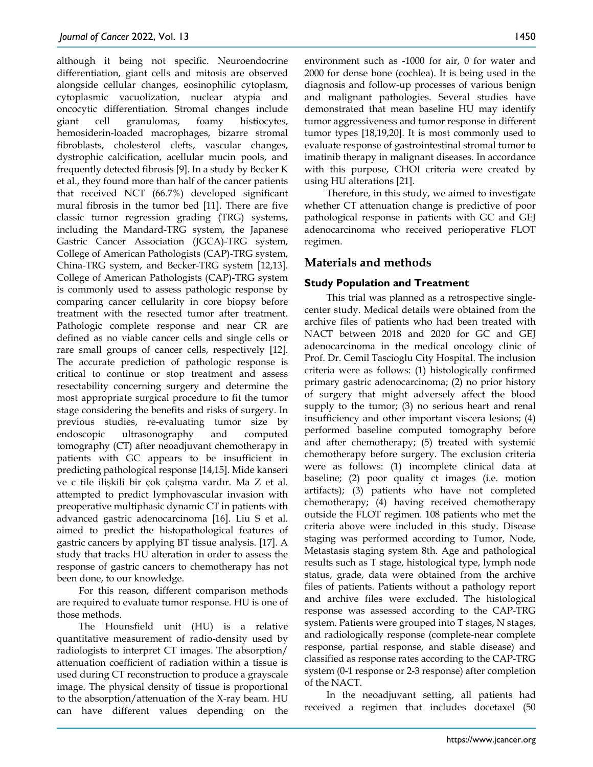although it being not specific. Neuroendocrine differentiation, giant cells and mitosis are observed alongside cellular changes, eosinophilic cytoplasm, cytoplasmic vacuolization, nuclear atypia and oncocytic differentiation. Stromal changes include giant cell granulomas, foamy histiocytes, hemosiderin-loaded macrophages, bizarre stromal fibroblasts, cholesterol clefts, vascular changes, dystrophic calcification, acellular mucin pools, and frequently detected fibrosis [9]. In a study by Becker K et al., they found more than half of the cancer patients that received NCT (66.7%) developed significant mural fibrosis in the tumor bed [11]. There are five classic tumor regression grading (TRG) systems, including the Mandard-TRG system, the Japanese Gastric Cancer Association (JGCA)-TRG system, College of American Pathologists (CAP)-TRG system, China-TRG system, and Becker-TRG system [12,13]. College of American Pathologists (CAP)-TRG system is commonly used to assess pathologic response by comparing cancer cellularity in core biopsy before treatment with the resected tumor after treatment. Pathologic complete response and near CR are defined as no viable cancer cells and single cells or rare small groups of cancer cells, respectively [12]. The accurate prediction of pathologic response is critical to continue or stop treatment and assess resectability concerning surgery and determine the most appropriate surgical procedure to fit the tumor stage considering the benefits and risks of surgery. In previous studies, re-evaluating tumor size by endoscopic ultrasonography and computed tomography (CT) after neoadjuvant chemotherapy in patients with GC appears to be insufficient in predicting pathological response [14,15]. Mide kanseri ve c tile ilişkili bir çok çalışma vardır. Ma Z et al. attempted to predict lymphovascular invasion with preoperative multiphasic dynamic CT in patients with advanced gastric adenocarcinoma [16]. Liu S et al. aimed to predict the histopathological features of gastric cancers by applying BT tissue analysis. [17]. A study that tracks HU alteration in order to assess the response of gastric cancers to chemotherapy has not been done, to our knowledge.

For this reason, different comparison methods are required to evaluate tumor response. HU is one of those methods.

The Hounsfield unit (HU) is a relative quantitative measurement of radio-density used by radiologists to interpret CT images. The absorption/ attenuation coefficient of radiation within a tissue is used during CT reconstruction to produce a grayscale image. The physical density of tissue is proportional to the absorption/attenuation of the X-ray beam. HU can have different values depending on the environment such as -1000 for air, 0 for water and 2000 for dense bone (cochlea). It is being used in the diagnosis and follow-up processes of various benign and malignant pathologies. Several studies have demonstrated that mean baseline HU may identify tumor aggressiveness and tumor response in different tumor types [18,19,20]. It is most commonly used to evaluate response of gastrointestinal stromal tumor to imatinib therapy in malignant diseases. In accordance with this purpose, CHOI criteria were created by using HU alterations [21].

Therefore, in this study, we aimed to investigate whether CT attenuation change is predictive of poor pathological response in patients with GC and GEJ adenocarcinoma who received perioperative FLOT regimen.

# **Materials and methods**

# **Study Population and Treatment**

This trial was planned as a retrospective singlecenter study. Medical details were obtained from the archive files of patients who had been treated with NACT between 2018 and 2020 for GC and GEJ adenocarcinoma in the medical oncology clinic of Prof. Dr. Cemil Tascioglu City Hospital. The inclusion criteria were as follows: (1) histologically confirmed primary gastric adenocarcinoma; (2) no prior history of surgery that might adversely affect the blood supply to the tumor; (3) no serious heart and renal insufficiency and other important viscera lesions; (4) performed baseline computed tomography before and after chemotherapy; (5) treated with systemic chemotherapy before surgery. The exclusion criteria were as follows: (1) incomplete clinical data at baseline; (2) poor quality ct images (i.e. motion artifacts); (3) patients who have not completed chemotherapy; (4) having received chemotherapy outside the FLOT regimen. 108 patients who met the criteria above were included in this study. Disease staging was performed according to Tumor, Node, Metastasis staging system 8th. Age and pathological results such as T stage, histological type, lymph node status, grade, data were obtained from the archive files of patients. Patients without a pathology report and archive files were excluded. The histological response was assessed according to the CAP-TRG system. Patients were grouped into T stages, N stages, and radiologically response (complete-near complete response, partial response, and stable disease) and classified as response rates according to the CAP-TRG system (0-1 response or 2-3 response) after completion of the NACT.

In the neoadjuvant setting, all patients had received a regimen that includes docetaxel (50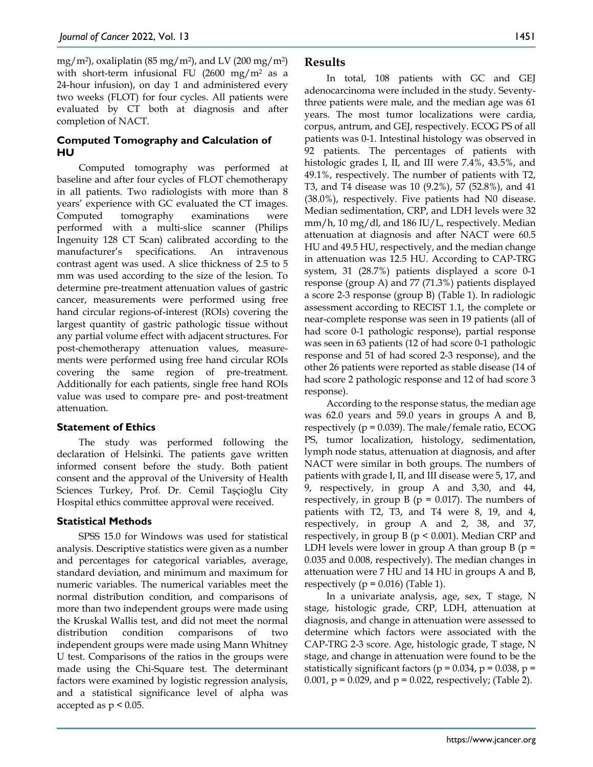mg/m<sup>2</sup>), oxaliplatin (85 mg/m<sup>2</sup>), and LV (200 mg/m<sup>2</sup>) with short-term infusional FU (2600 mg/m<sup>2</sup> as a 24-hour infusion), on day 1 and administered every two weeks (FLOT) for four cycles. All patients were evaluated by CT both at diagnosis and after completion of NACT.

# **Computed Tomography and Calculation of HU**

Computed tomography was performed at baseline and after four cycles of FLOT chemotherapy in all patients. Two radiologists with more than 8 years' experience with GC evaluated the CT images. Computed tomography examinations were performed with a multi-slice scanner (Philips Ingenuity 128 CT Scan) calibrated according to the manufacturer's specifications. An intravenous contrast agent was used. A slice thickness of 2.5 to 5 mm was used according to the size of the lesion. To determine pre-treatment attenuation values of gastric cancer, measurements were performed using free hand circular regions-of-interest (ROIs) covering the largest quantity of gastric pathologic tissue without any partial volume effect with adjacent structures. For post-chemotherapy attenuation values, measurements were performed using free hand circular ROIs covering the same region of pre-treatment. Additionally for each patients, single free hand ROIs value was used to compare pre- and post-treatment attenuation.

# **Statement of Ethics**

The study was performed following the declaration of Helsinki. The patients gave written informed consent before the study. Both patient consent and the approval of the University of Health Sciences Turkey, Prof. Dr. Cemil Taşçioğlu City Hospital ethics committee approval were received.

# **Statistical Methods**

SPSS 15.0 for Windows was used for statistical analysis. Descriptive statistics were given as a number and percentages for categorical variables, average, standard deviation, and minimum and maximum for numeric variables. The numerical variables meet the normal distribution condition, and comparisons of more than two independent groups were made using the Kruskal Wallis test, and did not meet the normal distribution condition comparisons of two independent groups were made using Mann Whitney U test. Comparisons of the ratios in the groups were made using the Chi-Square test. The determinant factors were examined by logistic regression analysis, and a statistical significance level of alpha was accepted as  $p < 0.05$ .

# **Results**

In total, 108 patients with GC and GEJ adenocarcinoma were included in the study. Seventythree patients were male, and the median age was 61 years. The most tumor localizations were cardia, corpus, antrum, and GEJ, respectively. ECOG PS of all patients was 0-1. Intestinal histology was observed in 92 patients. The percentages of patients with histologic grades I, II, and III were 7.4%, 43.5%, and 49.1%, respectively. The number of patients with T2, T3, and T4 disease was 10 (9.2%), 57 (52.8%), and 41 (38.0%), respectively. Five patients had N0 disease. Median sedimentation, CRP, and LDH levels were 32 mm/h, 10 mg/dl, and 186 IU/L, respectively. Median attenuation at diagnosis and after NACT were 60.5 HU and 49.5 HU, respectively, and the median change in attenuation was 12.5 HU. According to CAP-TRG system, 31 (28.7%) patients displayed a score 0-1 response (group A) and 77 (71.3%) patients displayed a score 2-3 response (group B) (Table 1). In radiologic assessment according to RECIST 1.1, the complete or near-complete response was seen in 19 patients (all of had score 0-1 pathologic response), partial response was seen in 63 patients (12 of had score 0-1 pathologic response and 51 of had scored 2-3 response), and the other 26 patients were reported as stable disease (14 of had score 2 pathologic response and 12 of had score 3 response).

According to the response status, the median age was 62.0 years and 59.0 years in groups A and B, respectively ( $p = 0.039$ ). The male/female ratio, ECOG PS, tumor localization, histology, sedimentation, lymph node status, attenuation at diagnosis, and after NACT were similar in both groups. The numbers of patients with grade I, II, and III disease were 5, 17, and 9, respectively, in group A and 3,30, and 44, respectively, in group B ( $p = 0.017$ ). The numbers of patients with T2, T3, and T4 were 8, 19, and 4, respectively, in group A and 2, 38, and 37, respectively, in group  $B$  ( $p < 0.001$ ). Median CRP and LDH levels were lower in group A than group B ( $p =$ 0.035 and 0.008, respectively). The median changes in attenuation were 7 HU and 14 HU in groups A and B, respectively ( $p = 0.016$ ) (Table 1).

In a univariate analysis, age, sex, T stage, N stage, histologic grade, CRP, LDH, attenuation at diagnosis, and change in attenuation were assessed to determine which factors were associated with the CAP-TRG 2-3 score. Age, histologic grade, T stage, N stage, and change in attenuation were found to be the statistically significant factors ( $p = 0.034$ ,  $p = 0.038$ ,  $p =$ 0.001,  $p = 0.029$ , and  $p = 0.022$ , respectively; (Table 2).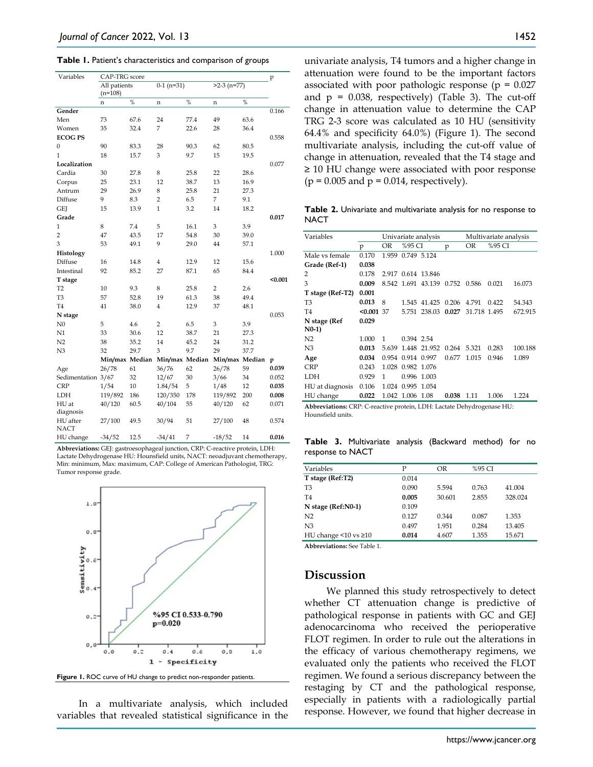| <b>Table 1.</b> Patient's characteristics and comparison of groups |  |  |
|--------------------------------------------------------------------|--|--|
|--------------------------------------------------------------------|--|--|

| Variables             | CAP-TRG score  |      |                |      |                |      | p          |
|-----------------------|----------------|------|----------------|------|----------------|------|------------|
|                       | All patients   |      | $0-1$ (n=31)   |      | $>2-3$ (n=77)  |      |            |
|                       | $(n=108)$      |      |                |      |                |      |            |
|                       | n              | $\%$ | n              | $\%$ | n              | %    |            |
| Gender                |                |      |                |      |                |      | 0.166      |
| Men                   | 73             | 67.6 | 24             | 77.4 | 49             | 63.6 |            |
| Women                 | 35             | 32.4 | 7              | 22.6 | 28             | 36.4 |            |
| <b>ECOG PS</b>        |                |      |                |      |                |      | 0.558      |
| 0                     | 90             | 83.3 | 28             | 90.3 | 62             | 80.5 |            |
| 1                     | 18             | 15.7 | 3              | 9.7  | 15             | 19.5 |            |
| Localization          |                |      |                |      |                |      | 0.077      |
| Cardia                | 30             | 27.8 | 8              | 25.8 | 22             | 28.6 |            |
| Corpus                | 25             | 23.1 | 12             | 38.7 | 13             | 16.9 |            |
| Antrum                | 29             | 26.9 | 8              | 25.8 | 21             | 27.3 |            |
| Diffuse               | 9              | 8.3  | $\overline{2}$ | 6.5  | 7              | 9.1  |            |
| <b>GEI</b>            | 15             | 13.9 | $\mathbf{1}$   | 3.2  | 14             | 18.2 |            |
| Grade                 |                |      |                |      |                |      | 0.017      |
| $\mathbf{1}$          | 8              | 7.4  | 5              | 16.1 | 3              | 3.9  |            |
| $\overline{2}$        | 47             | 43.5 | 17             | 54.8 | 30             | 39.0 |            |
| 3                     | 53             | 49.1 | 9              | 29.0 | 44             | 57.1 |            |
| Histology             |                |      |                |      |                |      | 1.000      |
| Diffuse               | 16             | 14.8 | $\overline{4}$ | 12.9 | 12             | 15.6 |            |
| Intestinal            | 92             | 85.2 | 27             | 87.1 | 65             | 84.4 |            |
| T stage               |                |      |                |      |                |      | < 0.001    |
| T <sub>2</sub>        | 10             | 9.3  | 8              | 25.8 | 2              | 2.6  |            |
| T <sub>3</sub>        | 57             | 52.8 | 19             | 61.3 | 38             | 49.4 |            |
| T <sub>4</sub>        | 41             | 38.0 | $\overline{4}$ | 12.9 | 37             | 48.1 |            |
| N stage               |                |      |                |      |                |      | 0.053      |
| N <sub>0</sub>        | 5              | 4.6  | $\overline{2}$ | 6.5  | 3              | 3.9  |            |
| N1                    | 33             | 30.6 | 12             | 38.7 | 21             | 27.3 |            |
| N <sub>2</sub>        | 38             | 35.2 | 14             | 45.2 | 24             | 31.2 |            |
| N <sub>3</sub>        | 32             | 29.7 | 3              | 9.7  | 29             | 37.7 |            |
|                       | Min/max Median |      | Min/max Median |      | Min/max Median |      |            |
|                       | 26/78          | 61   | 36/76          | 62   | 26/78          | 59   | p<br>0.039 |
| Age                   |                | 32   |                | 30   |                | 34   | 0.052      |
| Sedimentation 3/67    |                |      | 12/67          |      | 3/66           |      |            |
| <b>CRP</b>            | 1/54           | 10   | 1.84/54        | 5    | 1/48           | 12   | 0.035      |
| LDH                   | 119/892        | 186  | 120/350        | 178  | 119/892        | 200  | 0.008      |
| HU at                 | 40/120         | 60.5 | 40/104         | 55   | 40/120         | 62   | 0.071      |
| diagnosis<br>HU after | 27/100         | 49.5 | 30/94          | 51   | 27/100         | 48   | 0.574      |
| <b>NACT</b>           |                |      |                |      |                |      |            |
| HU change             | $-34/52$       | 12.5 | $-34/41$       | 7    | $-18/52$       | 14   | 0.016      |

**Abbreviations:** GEJ: gastroesophageal junction, CRP: C-reactive protein, LDH: Lactate Dehydrogenase HU: Hounsfield units, NACT: neoadjuvant chemotherapy, Min: minimum, Max: maximum, CAP: College of American Pathologist, TRG: Tumor response grade.



Figure 1. ROC curve of HU change to predict non-responder patients.

In a multivariate analysis, which included variables that revealed statistical significance in the univariate analysis, T4 tumors and a higher change in attenuation were found to be the important factors associated with poor pathologic response ( $p = 0.027$ and  $p = 0.038$ , respectively) (Table 3). The cut-off change in attenuation value to determine the CAP TRG 2-3 score was calculated as 10 HU (sensitivity 64.4% and specificity 64.0%) (Figure 1). The second multivariate analysis, including the cut-off value of change in attenuation, revealed that the T4 stage and ≥ 10 HU change were associated with poor response  $(p = 0.005$  and  $p = 0.014$ , respectively).

**Table 2.** Univariate and multivariate analysis for no response to **NACT** 

| Variables        |             |       | Univariate analysis |                    |       | Multivariate analysis |        |         |
|------------------|-------------|-------|---------------------|--------------------|-------|-----------------------|--------|---------|
|                  | p           | OR    | %95 CI              |                    | p     | OR                    | %95 CI |         |
| Male vs female   | 0.170       | 1.959 | 0.749 5.124         |                    |       |                       |        |         |
| Grade (Ref-1)    | 0.038       |       |                     |                    |       |                       |        |         |
| 2                | 0.178       |       |                     | 2.917 0.614 13.846 |       |                       |        |         |
| 3                | 0.009       |       |                     | 8.542 1.691 43.139 | 0.752 | 0.586                 | 0.021  | 16.073  |
| T stage (Ref-T2) | 0.001       |       |                     |                    |       |                       |        |         |
| T <sub>3</sub>   | 0.013       | 8     |                     | 1.545 41.425 0.206 |       | 4.791                 | 0.422  | 54.343  |
| T <sub>4</sub>   | $<0.001$ 37 |       |                     | 5.751 238.03       | 0.027 | 31.718 1.495          |        | 672.915 |
| N stage (Ref     | 0.029       |       |                     |                    |       |                       |        |         |
| $N0-1$           |             |       |                     |                    |       |                       |        |         |
| N2               | 1.000       | 1     | 0.394 2.54          |                    |       |                       |        |         |
| N3               | 0.013       |       |                     | 5.639 1.448 21.952 | 0.264 | 5.321                 | 0.283  | 100.188 |
| Age              | 0.034       | 0.954 | 0.914 0.997         |                    | 0.677 | 1.015                 | 0.946  | 1.089   |
| <b>CRP</b>       | 0.243       | 1.028 | 0.982 1.076         |                    |       |                       |        |         |
| <b>LDH</b>       | 0.929       | 1     | 0.996               | 1.003              |       |                       |        |         |
| HU at diagnosis  | 0.106       | 1.024 | 0.995               | 1.054              |       |                       |        |         |
| HU change        | 0.022       |       | 1.042 1.006 1.08    |                    | 0.038 | 1.11                  | 1.006  | 1.224   |
| .                |             |       |                     |                    |       |                       |        |         |

**Abbreviations:** CRP: C-reactive protein, LDH: Lactate Dehydrogenase HU: Hounsfield units.

**Table 3.** Multivariate analysis (Backward method) for no response to NACT

| Variables            | P     | OR     | %95 CI |         |
|----------------------|-------|--------|--------|---------|
| T stage (Ref:T2)     | 0.014 |        |        |         |
| T3                   | 0.090 | 5.594  | 0.763  | 41.004  |
| T4                   | 0.005 | 30.601 | 2.855  | 328.024 |
| N stage (Ref:N0-1)   | 0.109 |        |        |         |
| N2                   | 0.127 | 0.344  | 0.087  | 1.353   |
| N <sub>3</sub>       | 0.497 | 1.951  | 0.284  | 13.405  |
| HU change <10 vs ≥10 | 0.014 | 4.607  | 1.355  | 15.671  |
|                      |       |        |        |         |

**Abbreviations:** See Table 1.

#### **Discussion**

We planned this study retrospectively to detect whether CT attenuation change is predictive of pathological response in patients with GC and GEJ adenocarcinoma who received the perioperative FLOT regimen. In order to rule out the alterations in the efficacy of various chemotherapy regimens, we evaluated only the patients who received the FLOT regimen. We found a serious discrepancy between the restaging by CT and the pathological response, especially in patients with a radiologically partial response. However, we found that higher decrease in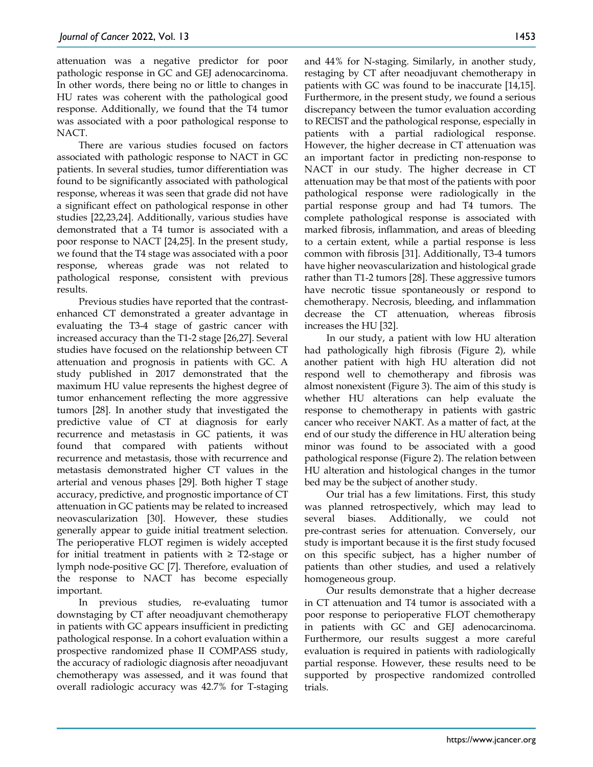attenuation was a negative predictor for poor pathologic response in GC and GEJ adenocarcinoma. In other words, there being no or little to changes in HU rates was coherent with the pathological good response. Additionally, we found that the T4 tumor was associated with a poor pathological response to NACT.

There are various studies focused on factors associated with pathologic response to NACT in GC patients. In several studies, tumor differentiation was found to be significantly associated with pathological response, whereas it was seen that grade did not have a significant effect on pathological response in other studies [22,23,24]. Additionally, various studies have demonstrated that a T4 tumor is associated with a poor response to NACT [24,25]. In the present study, we found that the T4 stage was associated with a poor response, whereas grade was not related to pathological response, consistent with previous results.

Previous studies have reported that the contrastenhanced CT demonstrated a greater advantage in evaluating the T3-4 stage of gastric cancer with increased accuracy than the T1-2 stage [26,27]. Several studies have focused on the relationship between CT attenuation and prognosis in patients with GC. A study published in 2017 demonstrated that the maximum HU value represents the highest degree of tumor enhancement reflecting the more aggressive tumors [28]. In another study that investigated the predictive value of CT at diagnosis for early recurrence and metastasis in GC patients, it was found that compared with patients without recurrence and metastasis, those with recurrence and metastasis demonstrated higher CT values in the arterial and venous phases [29]. Both higher T stage accuracy, predictive, and prognostic importance of CT attenuation in GC patients may be related to increased neovascularization [30]. However, these studies generally appear to guide initial treatment selection. The perioperative FLOT regimen is widely accepted for initial treatment in patients with  $\geq$  T2-stage or lymph node-positive GC [7]. Therefore, evaluation of the response to NACT has become especially important.

In previous studies, re-evaluating tumor downstaging by CT after neoadjuvant chemotherapy in patients with GC appears insufficient in predicting pathological response. In a cohort evaluation within a prospective randomized phase II COMPASS study, the accuracy of radiologic diagnosis after neoadjuvant chemotherapy was assessed, and it was found that overall radiologic accuracy was 42.7% for T-staging

and 44% for N-staging. Similarly, in another study, restaging by CT after neoadjuvant chemotherapy in patients with GC was found to be inaccurate [14,15]. Furthermore, in the present study, we found a serious discrepancy between the tumor evaluation according to RECIST and the pathological response, especially in patients with a partial radiological response. However, the higher decrease in CT attenuation was an important factor in predicting non-response to NACT in our study. The higher decrease in CT attenuation may be that most of the patients with poor pathological response were radiologically in the partial response group and had T4 tumors. The complete pathological response is associated with marked fibrosis, inflammation, and areas of bleeding to a certain extent, while a partial response is less common with fibrosis [31]. Additionally, T3-4 tumors have higher neovascularization and histological grade rather than T1-2 tumors [28]. These aggressive tumors have necrotic tissue spontaneously or respond to chemotherapy. Necrosis, bleeding, and inflammation decrease the CT attenuation, whereas fibrosis increases the HU [32].

In our study, a patient with low HU alteration had pathologically high fibrosis (Figure 2), while another patient with high HU alteration did not respond well to chemotherapy and fibrosis was almost nonexistent (Figure 3). The aim of this study is whether HU alterations can help evaluate the response to chemotherapy in patients with gastric cancer who receiver NAKT. As a matter of fact, at the end of our study the difference in HU alteration being minor was found to be associated with a good pathological response (Figure 2). The relation between HU alteration and histological changes in the tumor bed may be the subject of another study.

Our trial has a few limitations. First, this study was planned retrospectively, which may lead to several biases. Additionally, we could not pre-contrast series for attenuation. Conversely, our study is important because it is the first study focused on this specific subject, has a higher number of patients than other studies, and used a relatively homogeneous group.

Our results demonstrate that a higher decrease in CT attenuation and T4 tumor is associated with a poor response to perioperative FLOT chemotherapy in patients with GC and GEJ adenocarcinoma. Furthermore, our results suggest a more careful evaluation is required in patients with radiologically partial response. However, these results need to be supported by prospective randomized controlled trials.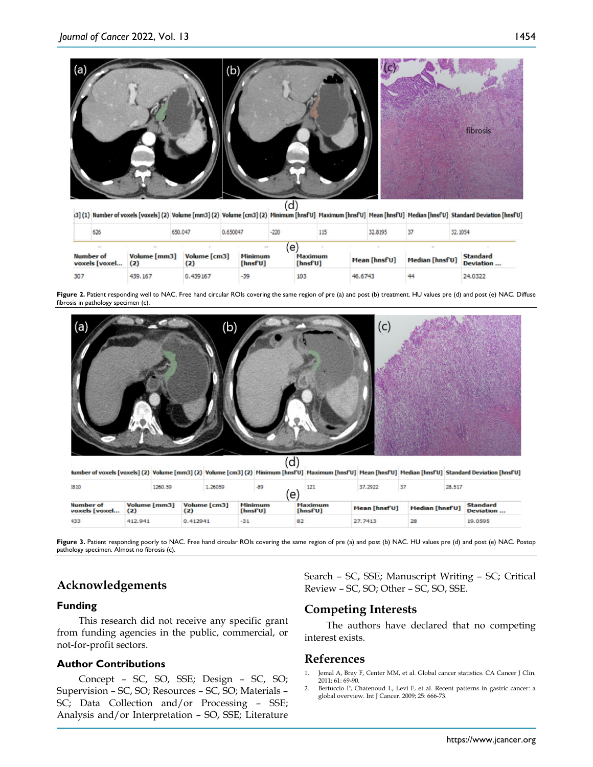

3] (1) Number of voxels [voxels] (2) Volume [mm3] (2) Volume [cm3] (2) Minimum [hnsf'U] Maximum [hnsf'U] Mean [hnsf'U] Median [hnsf'U] Standard Deviation [hnsf'U]

| 626                               |                     | 650.047             | 0.650047                  | $-220$                         | 115 | 32.8195              |                        | 32.1054                      |
|-----------------------------------|---------------------|---------------------|---------------------------|--------------------------------|-----|----------------------|------------------------|------------------------------|
| <b>Number of</b><br>voxels [voxel | Volume [mm3]<br>(2) | Volume [cm3]<br>(2) | <b>Minimum</b><br>[hnsfU] | e<br><b>Maximum</b><br>[hnsfU] |     | <b>Mean [hnsf'U]</b> | <b>Median [hnsf'U]</b> | <b>Standard</b><br>Deviation |
| 307                               | 439.167             | 0.439167            | $-39$                     | 103                            |     | 46.6743              |                        | 24.0322                      |

Figure 2. Patient responding well to NAC. Free hand circular ROIs covering the same region of pre (a) and post (b) treatment. HU values pre (d) and post (e) NAC. Diffuse fibrosis in pathology specimen (c).



tumber of voxels [voxels] (2) Volume [mm3] (2) Volume [cm3] (2) Minimum [hnsf'U] Maximum [hnsf'U] Mean [hnsf'U] Median [hnsf'U] Standard Deviation [hnsf'U]

| 2810                       | 1260.59             | 1.26059             | $-89$                     | 121<br>Έ           | 37.2922              | 28.517                 |                              |
|----------------------------|---------------------|---------------------|---------------------------|--------------------|----------------------|------------------------|------------------------------|
| Number of<br>voxels [voxel | Volume [mm3]<br>(2) | Volume [cm3]<br>(2) | <b>Minimum</b><br>[hnsfU] | Maximum<br>[hnsfU] | <b>Mean [hnsf'U]</b> | <b>Median [hnsf'U]</b> | <b>Standard</b><br>Deviation |
| 433                        | 412.941             | 0.412941            | $-31$                     | 82                 | 27.7413              | 28                     | 19.0595                      |

Figure 3. Patient responding poorly to NAC. Free hand circular ROIs covering the same region of pre (a) and post (b) NAC. HU values pre (d) and post (e) NAC. Postop pathology specimen. Almost no fibrosis (c).

# **Acknowledgements**

#### **Funding**

This research did not receive any specific grant from funding agencies in the public, commercial, or not-for-profit sectors.

#### **Author Contributions**

Concept – SC, SO, SSE; Design – SC, SO; Supervision – SC, SO; Resources – SC, SO; Materials – SC; Data Collection and/or Processing – SSE; Analysis and/or Interpretation – SO, SSE; Literature

Search – SC, SSE; Manuscript Writing – SC; Critical Review – SC, SO; Other – SC, SO, SSE.

# **Competing Interests**

The authors have declared that no competing interest exists.

#### **References**

- Jemal A, Bray F, Center MM, et al. Global cancer statistics. CA Cancer J Clin. 2011; 61: 69-90.
- 2. Bertuccio P, Chatenoud L, Levi F, et al. Recent patterns in gastric cancer: a global overview. Int J Cancer. 2009; 25: 666-73.